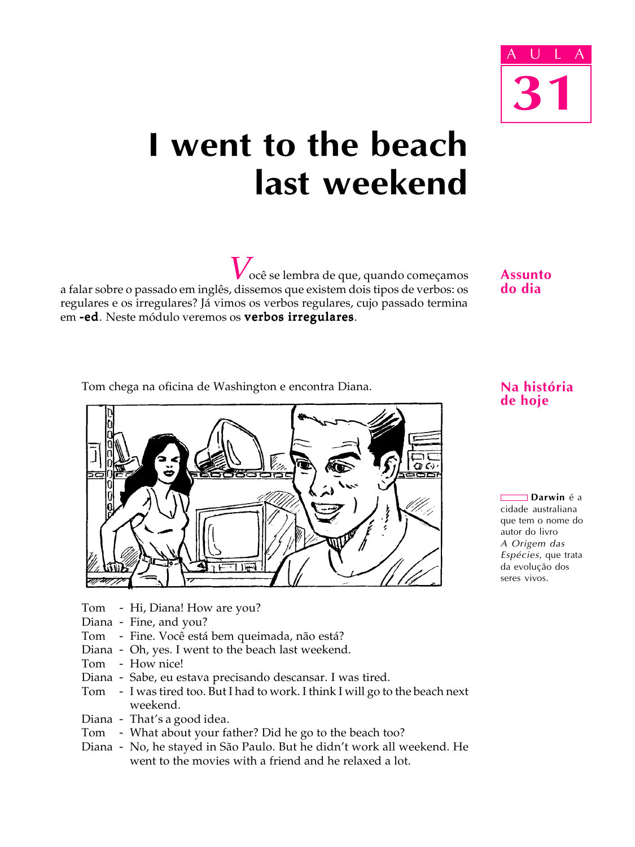

# I went to the beach last weekend

 $V_{\text{ocê se lembra de que, quando começamos}}$ a falar sobre o passado em inglês, dissemos que existem dois tipos de verbos: os regulares e os irregulares? Já vimos os verbos regulares, cujo passado termina em -ed. Neste módulo veremos os verbos irregulares.

Assunto do dia

Tom chega na oficina de Washington e encontra Diana.



- Tom Hi, Diana! How are you?
- Diana Fine, and you?
- Tom Fine. Você está bem queimada, não está?
- Diana Oh, yes. I went to the beach last weekend.
- Tom How nice!
- Diana Sabe, eu estava precisando descansar. I was tired.
- Tom I was tired too. But I had to work. I think I will go to the beach next weekend.
- Diana That's a good idea.
- Tom What about your father? Did he go to the beach too?
- Diana No, he stayed in São Paulo. But he didn't work all weekend. He went to the movies with a friend and he relaxed a lot.

### Na história de hoje

**□ Darwin** é a cidade australiana que tem o nome do autor do livro A Origem das Espécies, que trata da evolução dos seres vivos.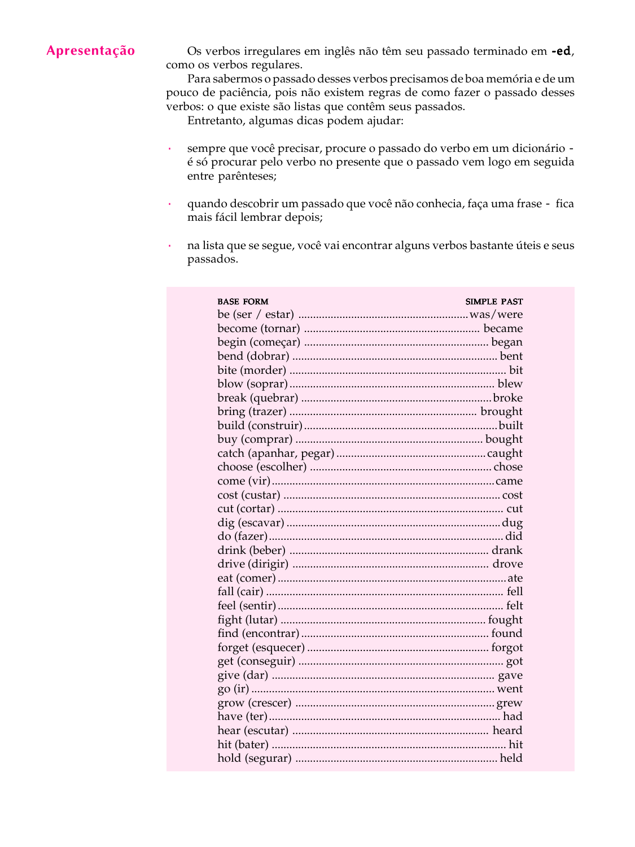## Apresentação

Os verbos irregulares em inglês não têm seu passado terminado em -ed, como os verbos regulares.

Para sabermos o passado desses verbos precisamos de boa memória e de um pouco de paciência, pois não existem regras de como fazer o passado desses verbos: o que existe são listas que contêm seus passados.

Entretanto, algumas dicas podem ajudar:

- sempre que você precisar, procure o passado do verbo em um dicionário é só procurar pelo verbo no presente que o passado vem logo em seguida entre parênteses;
- · quando descobrir um passado que você não conhecia, faça uma frase fica mais fácil lembrar depois;
- na lista que se segue, você vai encontrar alguns verbos bastante úteis e seus passados.

| <b>BASE FORM</b> | <b>SIMPLE PAST</b> |
|------------------|--------------------|
|                  |                    |
|                  |                    |
|                  |                    |
|                  |                    |
|                  |                    |
|                  |                    |
|                  |                    |
|                  |                    |
|                  |                    |
|                  |                    |
|                  |                    |
|                  |                    |
|                  |                    |
|                  |                    |
|                  |                    |
|                  |                    |
|                  |                    |
|                  |                    |
|                  |                    |
|                  |                    |
|                  |                    |
|                  |                    |
|                  |                    |
|                  |                    |
|                  |                    |
|                  |                    |
|                  |                    |
|                  |                    |
|                  |                    |
|                  |                    |
|                  |                    |
|                  |                    |
|                  |                    |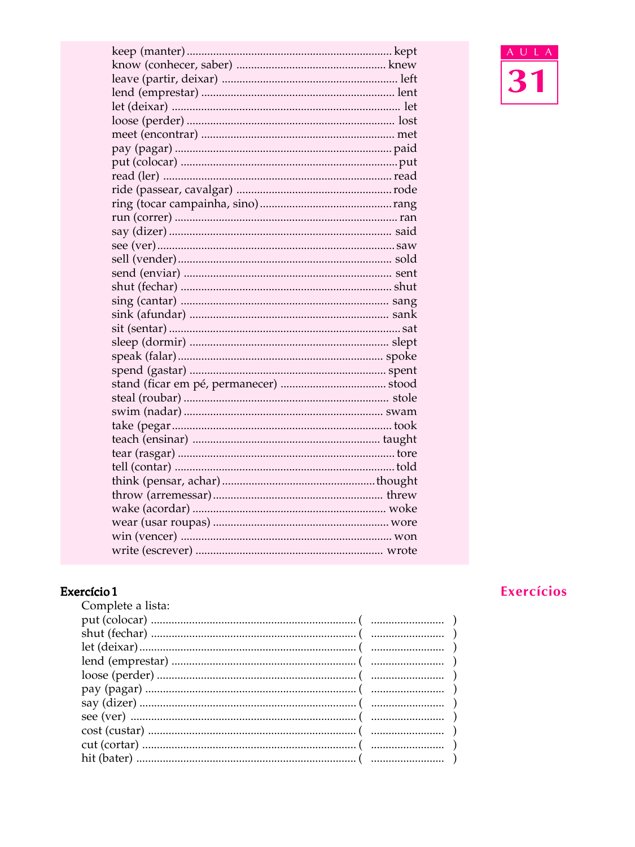# **Exercício 1**<br>Complete a lista:

| Complete a usta. |
|------------------|
|                  |
|                  |
|                  |
|                  |
|                  |
|                  |
|                  |
|                  |
|                  |
|                  |
|                  |
|                  |

## Exercícios